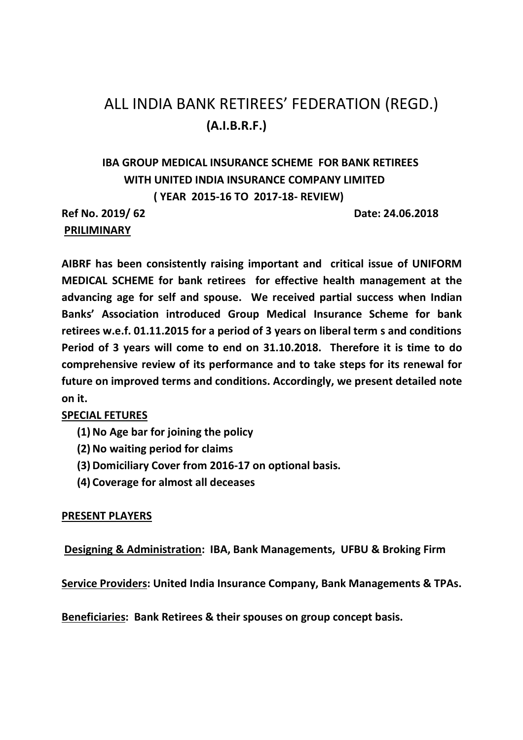# ALL INDIA BANK RETIREES' FEDERATION (REGD.) **(A.I.B.R.F.)**

# **IBA GROUP MEDICAL INSURANCE SCHEME FOR BANK RETIREES WITH UNITED INDIA INSURANCE COMPANY LIMITED ( YEAR 2015-16 TO 2017-18- REVIEW)**

 **PRILIMINARY** 

**Ref No. 2019/ 62 Date: 24.06.2018** 

**AIBRF has been consistently raising important and critical issue of UNIFORM MEDICAL SCHEME for bank retirees for effective health management at the advancing age for self and spouse. We received partial success when Indian Banks' Association introduced Group Medical Insurance Scheme for bank retirees w.e.f. 01.11.2015 for a period of 3 years on liberal term s and conditions Period of 3 years will come to end on 31.10.2018. Therefore it is time to do comprehensive review of its performance and to take steps for its renewal for future on improved terms and conditions. Accordingly, we present detailed note on it.** 

# **SPECIAL FETURES**

- **(1)No Age bar for joining the policy**
- **(2)No waiting period for claims**
- **(3)Domiciliary Cover from 2016-17 on optional basis.**
- **(4) Coverage for almost all deceases**

# **PRESENT PLAYERS**

 **Designing & Administration: IBA, Bank Managements, UFBU & Broking Firm** 

**Service Providers: United India Insurance Company, Bank Managements & TPAs.** 

**Beneficiaries: Bank Retirees & their spouses on group concept basis.**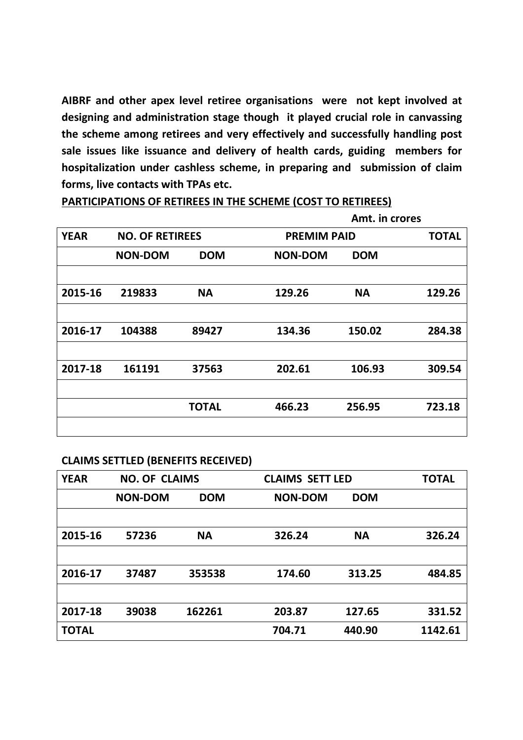**AIBRF and other apex level retiree organisations were not kept involved at designing and administration stage though it played crucial role in canvassing the scheme among retirees and very effectively and successfully handling post sale issues like issuance and delivery of health cards, guiding members for hospitalization under cashless scheme, in preparing and submission of claim forms, live contacts with TPAs etc.** 

**PARTICIPATIONS OF RETIREES IN THE SCHEME (COST TO RETIREES)** 

|             |                        |              | Amt. in crores     |            |              |
|-------------|------------------------|--------------|--------------------|------------|--------------|
| <b>YEAR</b> | <b>NO. OF RETIREES</b> |              | <b>PREMIM PAID</b> |            | <b>TOTAL</b> |
|             | <b>NON-DOM</b>         | <b>DOM</b>   | <b>NON-DOM</b>     | <b>DOM</b> |              |
|             |                        |              |                    |            |              |
| 2015-16     | 219833                 | <b>NA</b>    | 129.26             | <b>NA</b>  | 129.26       |
|             |                        |              |                    |            |              |
| 2016-17     | 104388                 | 89427        | 134.36             | 150.02     | 284.38       |
|             |                        |              |                    |            |              |
| 2017-18     | 161191                 | 37563        | 202.61             | 106.93     | 309.54       |
|             |                        |              |                    |            |              |
|             |                        | <b>TOTAL</b> | 466.23             | 256.95     | 723.18       |
|             |                        |              |                    |            |              |

#### **CLAIMS SETTLED (BENEFITS RECEIVED)**

| <b>YEAR</b>  | <b>NO. OF CLAIMS</b> |            | <b>CLAIMS SETT LED</b> |            | <b>TOTAL</b> |
|--------------|----------------------|------------|------------------------|------------|--------------|
|              | <b>NON-DOM</b>       | <b>DOM</b> | <b>NON-DOM</b>         | <b>DOM</b> |              |
|              |                      |            |                        |            |              |
| 2015-16      | 57236                | <b>NA</b>  | 326.24                 | <b>NA</b>  | 326.24       |
|              |                      |            |                        |            |              |
| 2016-17      | 37487                | 353538     | 174.60                 | 313.25     | 484.85       |
|              |                      |            |                        |            |              |
| 2017-18      | 39038                | 162261     | 203.87                 | 127.65     | 331.52       |
| <b>TOTAL</b> |                      |            | 704.71                 | 440.90     | 1142.61      |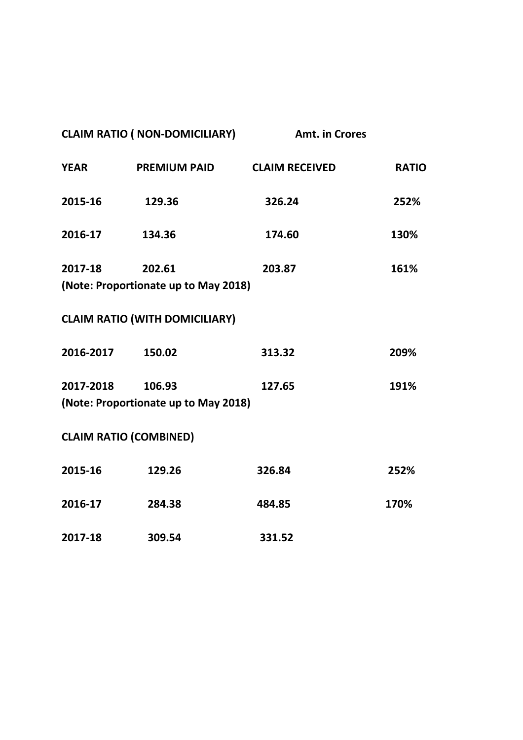| <b>CLAIM RATIO ( NON-DOMICILIARY)</b> |                                                | <b>Amt. in Crores</b> |              |
|---------------------------------------|------------------------------------------------|-----------------------|--------------|
| <b>YEAR</b>                           | <b>PREMIUM PAID</b>                            | <b>CLAIM RECEIVED</b> | <b>RATIO</b> |
| 2015-16                               | 129.36                                         | 326.24                | 252%         |
| 2016-17                               | 134.36                                         | 174.60                | 130%         |
| 2017-18                               | 202.61<br>(Note: Proportionate up to May 2018) | 203.87                | 161%         |
|                                       | <b>CLAIM RATIO (WITH DOMICILIARY)</b>          |                       |              |
| 2016-2017                             | 150.02                                         | 313.32                | 209%         |
| 2017-2018                             | 106.93<br>(Note: Proportionate up to May 2018) | 127.65                | 191%         |
|                                       | <b>CLAIM RATIO (COMBINED)</b>                  |                       |              |
| 2015-16                               | 129.26                                         | 326.84                | 252%         |
| 2016-17                               | 284.38                                         | 484.85                | 170%         |
| 2017-18                               | 309.54                                         | 331.52                |              |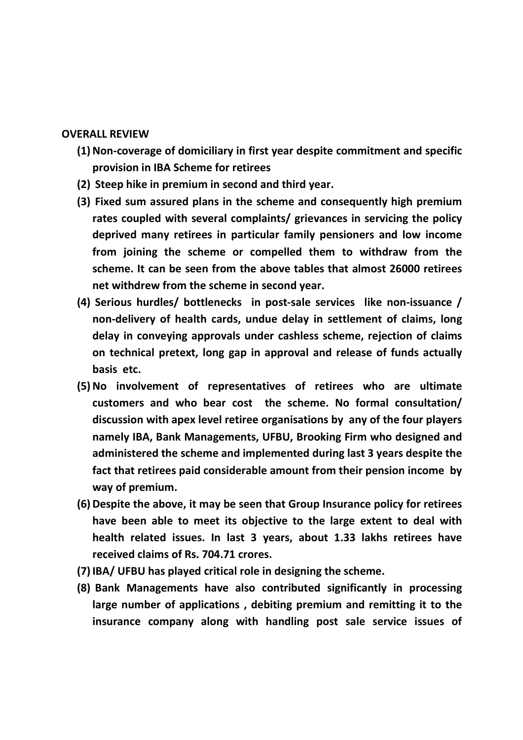### **OVERALL REVIEW**

- **(1)Non-coverage of domiciliary in first year despite commitment and specific provision in IBA Scheme for retirees**
- **(2) Steep hike in premium in second and third year.**
- **(3) Fixed sum assured plans in the scheme and consequently high premium rates coupled with several complaints/ grievances in servicing the policy deprived many retirees in particular family pensioners and low income from joining the scheme or compelled them to withdraw from the scheme. It can be seen from the above tables that almost 26000 retirees net withdrew from the scheme in second year.**
- **(4) Serious hurdles/ bottlenecks in post-sale services like non-issuance / non-delivery of health cards, undue delay in settlement of claims, long delay in conveying approvals under cashless scheme, rejection of claims on technical pretext, long gap in approval and release of funds actually basis etc.**
- **(5)No involvement of representatives of retirees who are ultimate customers and who bear cost the scheme. No formal consultation/ discussion with apex level retiree organisations by any of the four players namely IBA, Bank Managements, UFBU, Brooking Firm who designed and administered the scheme and implemented during last 3 years despite the fact that retirees paid considerable amount from their pension income by way of premium.**
- **(6)Despite the above, it may be seen that Group Insurance policy for retirees have been able to meet its objective to the large extent to deal with health related issues. In last 3 years, about 1.33 lakhs retirees have received claims of Rs. 704.71 crores.**
- **(7)IBA/ UFBU has played critical role in designing the scheme.**
- **(8) Bank Managements have also contributed significantly in processing large number of applications , debiting premium and remitting it to the insurance company along with handling post sale service issues of**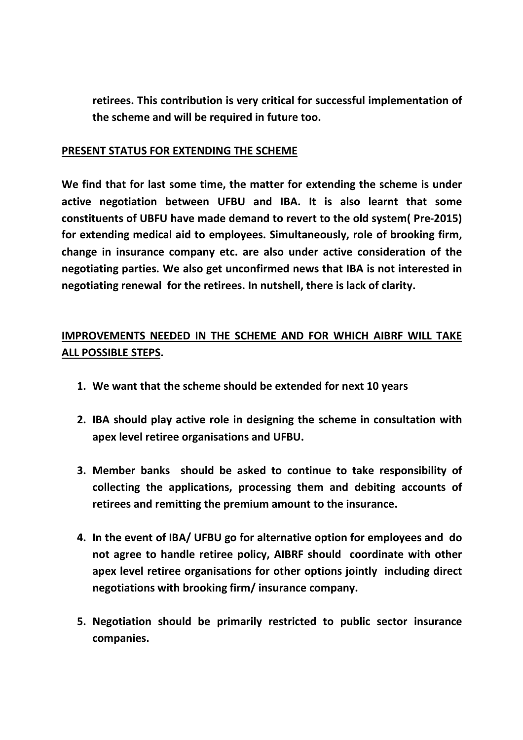**retirees. This contribution is very critical for successful implementation of the scheme and will be required in future too.** 

### **PRESENT STATUS FOR EXTENDING THE SCHEME**

**We find that for last some time, the matter for extending the scheme is under active negotiation between UFBU and IBA. It is also learnt that some constituents of UBFU have made demand to revert to the old system( Pre-2015) for extending medical aid to employees. Simultaneously, role of brooking firm, change in insurance company etc. are also under active consideration of the negotiating parties. We also get unconfirmed news that IBA is not interested in negotiating renewal for the retirees. In nutshell, there is lack of clarity.** 

# **IMPROVEMENTS NEEDED IN THE SCHEME AND FOR WHICH AIBRF WILL TAKE ALL POSSIBLE STEPS.**

- **1. We want that the scheme should be extended for next 10 years**
- **2. IBA should play active role in designing the scheme in consultation with apex level retiree organisations and UFBU.**
- **3. Member banks should be asked to continue to take responsibility of collecting the applications, processing them and debiting accounts of retirees and remitting the premium amount to the insurance.**
- **4. In the event of IBA/ UFBU go for alternative option for employees and do not agree to handle retiree policy, AIBRF should coordinate with other apex level retiree organisations for other options jointly including direct negotiations with brooking firm/ insurance company.**
- **5. Negotiation should be primarily restricted to public sector insurance companies.**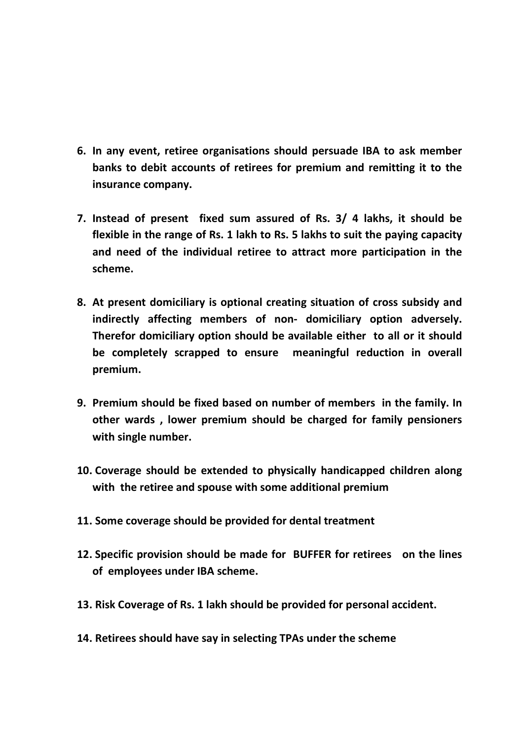- **6. In any event, retiree organisations should persuade IBA to ask member banks to debit accounts of retirees for premium and remitting it to the insurance company.**
- **7. Instead of present fixed sum assured of Rs. 3/ 4 lakhs, it should be flexible in the range of Rs. 1 lakh to Rs. 5 lakhs to suit the paying capacity and need of the individual retiree to attract more participation in the scheme.**
- **8. At present domiciliary is optional creating situation of cross subsidy and indirectly affecting members of non- domiciliary option adversely. Therefor domiciliary option should be available either to all or it should be completely scrapped to ensure meaningful reduction in overall premium.**
- **9. Premium should be fixed based on number of members in the family. In other wards , lower premium should be charged for family pensioners with single number.**
- **10. Coverage should be extended to physically handicapped children along with the retiree and spouse with some additional premium**
- **11. Some coverage should be provided for dental treatment**
- **12. Specific provision should be made for BUFFER for retirees on the lines of employees under IBA scheme.**
- **13. Risk Coverage of Rs. 1 lakh should be provided for personal accident.**
- **14. Retirees should have say in selecting TPAs under the scheme**